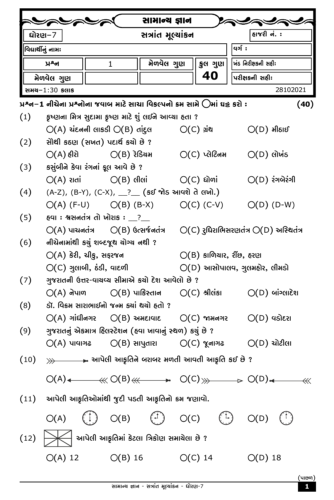|                    |                                                                                                                  |  |              | સામાન્ય જ્ઞાન                             |  |                             |                                                                 |                                                                                                                                                                                            |  |
|--------------------|------------------------------------------------------------------------------------------------------------------|--|--------------|-------------------------------------------|--|-----------------------------|-----------------------------------------------------------------|--------------------------------------------------------------------------------------------------------------------------------------------------------------------------------------------|--|
| દ્યોરણ−7           |                                                                                                                  |  |              | સત્રાંત મૂલ્યાંકન                         |  |                             | હાજરી <b>નં.</b> :                                              |                                                                                                                                                                                            |  |
| વિદ્યાર્થીનું નામઃ |                                                                                                                  |  |              |                                           |  |                             | <b>u</b> ə[ :                                                   |                                                                                                                                                                                            |  |
|                    | ਮੂਡਖ                                                                                                             |  | $\mathbf{1}$ | મેળવેલ ગુણ                                |  | કુલ ગુણ                     | ર્ખિડ નિરીક્ષકની સહીઃ                                           |                                                                                                                                                                                            |  |
| મેળવેલ ગુણ         |                                                                                                                  |  |              |                                           |  | 40                          | પરીક્ષકની સહીઃ                                                  |                                                                                                                                                                                            |  |
| સમય−1:30 કલાક      |                                                                                                                  |  |              |                                           |  |                             |                                                                 | 28102021                                                                                                                                                                                   |  |
|                    | પ્રશ્ન–1 નીચેના પ્રશ્નોના જવાબ માટે સાચા વિકલ્પનો ક્રમ સામે $\bigcirc$ માં ઘટ્ટ કરો :                            |  |              |                                           |  |                             |                                                                 | (40)                                                                                                                                                                                       |  |
| (1)                | કૃષ્ણના મિત્ર સુદામા કૃષ્ણ માટે શું લઈને આવ્યા હતા ?                                                             |  |              |                                           |  |                             |                                                                 |                                                                                                                                                                                            |  |
|                    | $O(A)$ ચંદનની લાકડી $O(B)$ તાંદુલ                                                                                |  |              |                                           |  | $O(C)$ ગ્રંથ                | $O(D)$ મીઠાઈ                                                    |                                                                                                                                                                                            |  |
| (2)                | સોથી કઠણ (સખત) પદાર્થ કર્યો છે?                                                                                  |  |              |                                           |  |                             |                                                                 |                                                                                                                                                                                            |  |
|                    | $O(A)$ હીરો $O(B)$ રેડિચમ                                                                                        |  |              |                                           |  | $O(C)$ ਪ੍ਰੇટਿਗਮ             | $O(D)$ લોખંડ                                                    |                                                                                                                                                                                            |  |
| (3)                | કસુંબીને કેવા રંગનાં ફૂલ આવે છે ?                                                                                |  |              |                                           |  |                             |                                                                 |                                                                                                                                                                                            |  |
|                    | $O(A)$ રાતાં $O(B)$ લીલાં                                                                                        |  |              |                                           |  | $O(C)$ ધોળાં                |                                                                 | $O(D)$ રંગબેરંગી                                                                                                                                                                           |  |
| (4)                | $(A-Z)$ , $(B-Y)$ , $(C-X)$ , $2^2$ $(50 \text{ m/s})$ આવશે તે લખો.)                                             |  |              |                                           |  |                             |                                                                 |                                                                                                                                                                                            |  |
|                    | $O(A)$ (F-U) $O(B)$ (B-X)                                                                                        |  |              |                                           |  | $O(C)$ (C-V)                |                                                                 | $O(D)$ (D-W)                                                                                                                                                                               |  |
| (5)                | હવા : શ્વસનતંત્ર તો ખોરાક : __?__                                                                                |  |              |                                           |  |                             |                                                                 |                                                                                                                                                                                            |  |
|                    | $O(A)$ પાચનતંત્ર $O(B)$ ઉત્સર્જનતંત્ર                                                                            |  |              |                                           |  |                             | $O(C)$ રુધિરાભિસરણતંત્ર $O(D)$ અસ્થિતંત્ર                       |                                                                                                                                                                                            |  |
| (6)                | નીચેનામાંથી કચું શબ્દજૂથ ચોગ્ચ નથી ?                                                                             |  |              |                                           |  |                             |                                                                 |                                                                                                                                                                                            |  |
|                    | $O(A)$ કેરી, ચીકુ, સફરજન                                                                                         |  |              |                                           |  | $O(B)$ કાળિયાર, રીંછ, હરણ   |                                                                 |                                                                                                                                                                                            |  |
|                    | $O(C)$ ગુલાબી, ઠંડી, વાદળી<br>$O(D)$ આસોપાલવ, ગુલમહોર, લીમડો<br>ગુજરાતની ઉત્તર-વાચવ્ય સીમાએ કર્યો દેશ આવેલો છે ? |  |              |                                           |  |                             |                                                                 |                                                                                                                                                                                            |  |
| (7)                |                                                                                                                  |  |              |                                           |  |                             | $O(A)$ નેપાળ $O(B)$ પાકિસ્તાન $O(C)$ શ્રીલંકા $O(D)$ બાંગ્લાદેશ |                                                                                                                                                                                            |  |
| (8)                | ડૉ. વિક્રમ સારાભાઈનો જન્મ ક્યાં થયો હતો ?                                                                        |  |              |                                           |  |                             |                                                                 |                                                                                                                                                                                            |  |
|                    |                                                                                                                  |  |              |                                           |  |                             | $O(A)$ ગાંધીનગર $O(B)$ અમદાવાદ $O(C)$ જામનગર $O(D)$ વડોદરા      |                                                                                                                                                                                            |  |
| (9)                | ગુજરાતનું એકમાત્ર હિલસ્ટેશન (હવા ખાવાનું સ્થળ) કચું છે ?                                                         |  |              |                                           |  |                             |                                                                 |                                                                                                                                                                                            |  |
|                    |                                                                                                                  |  |              |                                           |  |                             | $O(A)$ પાવાગઢ $O(B)$ સાપુતારા $O(C)$ જૂનાગઢ $O(D)$ ચોટીલા       |                                                                                                                                                                                            |  |
| (10)               | $\gg$ આપેલી આકૃતિને બરાબર મળતી આવતી આકૃતિ કઈ છે ?                                                                |  |              |                                           |  |                             |                                                                 |                                                                                                                                                                                            |  |
|                    |                                                                                                                  |  |              |                                           |  |                             |                                                                 |                                                                                                                                                                                            |  |
|                    |                                                                                                                  |  |              |                                           |  |                             |                                                                 | $O(A)$ $\leftarrow$ $\leftarrow$ $\leftarrow$ $O(B)$ $\leftarrow$ $\rightarrow$ $O(C)$ $\rightarrow$ $\rightarrow$ $O(D)$ $\leftarrow$ $\leftarrow$ $\leftarrow$ $\leftarrow$ $\leftarrow$ |  |
|                    | $(11)$ આપેલી આકૃતિઓમાંથી જુદી પડતી આકૃતિનો ક્રમ જણાવો.                                                           |  |              |                                           |  |                             |                                                                 |                                                                                                                                                                                            |  |
|                    | O(A)                                                                                                             |  |              |                                           |  | $(1)$ O(B) $(1)$ O(C) $(1)$ | O(D)                                                            | $\binom{1}{1}$                                                                                                                                                                             |  |
| (12)               |                                                                                                                  |  |              | આપેલી આકૃતિમાં કેટલા ત્રિકોણ સમાચેલા છે ? |  |                             |                                                                 |                                                                                                                                                                                            |  |
|                    | $O(A) 12$ $O(B) 16$                                                                                              |  |              |                                           |  | $O(C)$ 14                   | $O(D)$ 18                                                       |                                                                                                                                                                                            |  |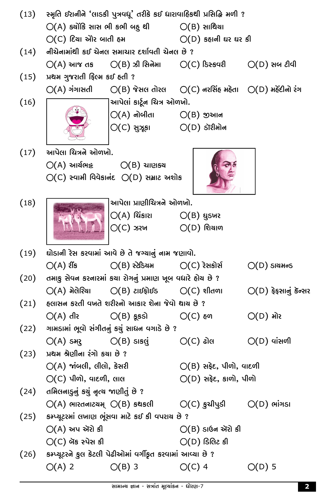